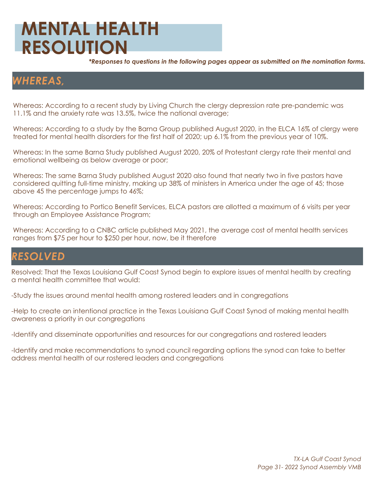## **MENTAL HEALTH RESOLUTION**

*\*Responses to questions in the following pages appear as submitted on the nomination forms.*

### *WHEREAS,*

Whereas: According to a recent study by Living Church the clergy depression rate pre-pandemic was 11.1% and the anxiety rate was 13.5%, twice the national average;

Whereas: According to a study by the Barna Group published August 2020, in the ELCA 16% of clergy were treated for mental health disorders for the first half of 2020; up 6.1% from the previous year of 10%.

Whereas: In the same Barna Study published August 2020, 20% of Protestant clergy rate their mental and emotional wellbeing as below average or poor;

Whereas: The same Barna Study published August 2020 also found that nearly two in five pastors have considered quitting full-time ministry, making up 38% of ministers in America under the age of 45; those above 45 the percentage jumps to 46%;

Whereas: According to Portico Benefit Services, ELCA pastors are allotted a maximum of 6 visits per year through an Employee Assistance Program;

Whereas: According to a CNBC article published May 2021, the average cost of mental health services ranges from \$75 per hour to \$250 per hour, now, be it therefore

### *RESOLVED*

Resolved: That the Texas Louisiana Gulf Coast Synod begin to explore issues of mental health by creating a mental health committee that would:

-Study the issues around mental health among rostered leaders and in congregations

-Help to create an intentional practice in the Texas Louisiana Gulf Coast Synod of making mental health awareness a priority in our congregations

-Identify and disseminate opportunities and resources for our congregations and rostered leaders

-Identify and make recommendations to synod council regarding options the synod can take to better address mental health of our rostered leaders and congregations